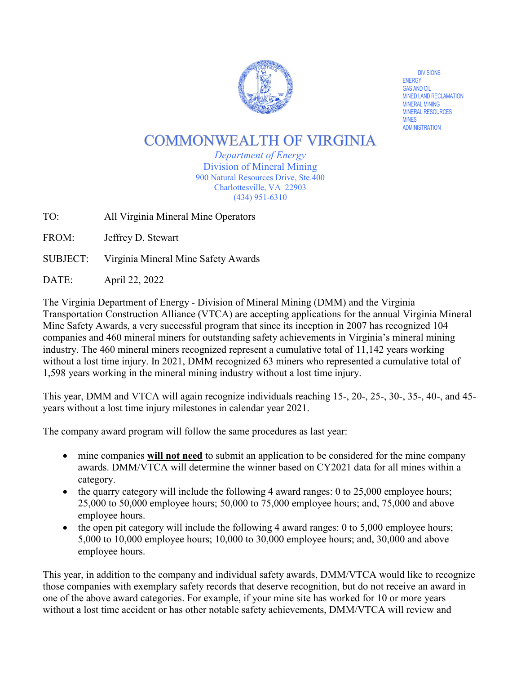

**DIVISIONS** ENERGY<br>GAS AND OIL MINED LAND RECLAMATION<br>MINERAL MINING MINERAL RESOURCES MINES ADMINISTRATION

# **COMMONWEALTH OF VIRGINIA**

*Department of Energy*  Division of Mineral Mining 900 Natural Resources Drive, Ste.400 Charlottesville, VA 22903 (434) 951-6310

TO: All Virginia Mineral Mine Operators

FROM: Jeffrey D. Stewart

SUBJECT: Virginia Mineral Mine Safety Awards

DATE: April 22, 2022

The Virginia Department of Energy - Division of Mineral Mining (DMM) and the Virginia Transportation Construction Alliance (VTCA) are accepting applications for the annual Virginia Mineral Mine Safety Awards, a very successful program that since its inception in 2007 has recognized 104 companies and 460 mineral miners for outstanding safety achievements in Virginia's mineral mining industry. The 460 mineral miners recognized represent a cumulative total of 11,142 years working without a lost time injury. In 2021, DMM recognized 63 miners who represented a cumulative total of 1,598 years working in the mineral mining industry without a lost time injury.

This year, DMM and VTCA will again recognize individuals reaching 15-, 20-, 25-, 30-, 35-, 40-, and 45 years without a lost time injury milestones in calendar year 2021.

The company award program will follow the same procedures as last year:

- mine companies **will not need** to submit an application to be considered for the mine company awards. DMM/VTCA will determine the winner based on CY2021 data for all mines within a category.
- the quarry category will include the following 4 award ranges: 0 to 25,000 employee hours; 25,000 to 50,000 employee hours; 50,000 to 75,000 employee hours; and, 75,000 and above employee hours.
- the open pit category will include the following 4 award ranges: 0 to 5,000 employee hours; 5,000 to 10,000 employee hours; 10,000 to 30,000 employee hours; and, 30,000 and above employee hours.

This year, in addition to the company and individual safety awards, DMM/VTCA would like to recognize those companies with exemplary safety records that deserve recognition, but do not receive an award in one of the above award categories. For example, if your mine site has worked for 10 or more years without a lost time accident or has other notable safety achievements, DMM/VTCA will review and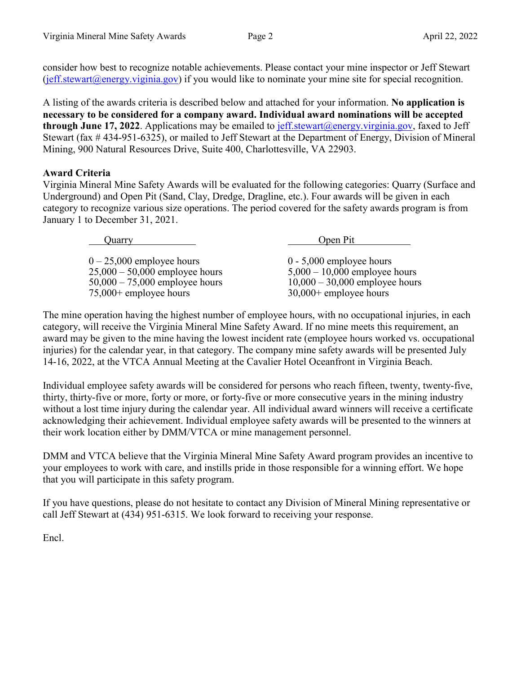consider how best to recognize notable achievements. Please contact your mine inspector or Jeff Stewart  $(j$ eff.stewart@energy.viginia.gov) if you would like to nominate your mine site for special recognition.

A listing of the awards criteria is described below and attached for your information. **No application is necessary to be considered for a company award. Individual award nominations will be accepted**  through June 17, 2022. Applications may be emailed to **jeff.stewart@energy.virginia.gov**, faxed to Jeff Stewart (fax # 434-951-6325), or mailed to Jeff Stewart at the Department of Energy, Division of Mineral Mining, 900 Natural Resources Drive, Suite 400, Charlottesville, VA 22903.

## **Award Criteria**

Virginia Mineral Mine Safety Awards will be evaluated for the following categories: Quarry (Surface and Underground) and Open Pit (Sand, Clay, Dredge, Dragline, etc.). Four awards will be given in each category to recognize various size operations. The period covered for the safety awards program is from January 1 to December 31, 2021.

> Quarry Open Pit  $0 - 25,000$  employee hours  $0 - 5,000$  employee hours  $5,000 - 10,000$  employee hours  $25,000 - 50,000$  employee hours  $5,000 - 10,000$  employee hours  $10,000 - 30,000$  employee hours  $50,000 - 75,000$  employee hours<br> $75,000 +$  employee hours  $30,000+$  employee hours

The mine operation having the highest number of employee hours, with no occupational injuries, in each category, will receive the Virginia Mineral Mine Safety Award. If no mine meets this requirement, an award may be given to the mine having the lowest incident rate (employee hours worked vs. occupational injuries) for the calendar year, in that category. The company mine safety awards will be presented July 14-16, 2022, at the VTCA Annual Meeting at the Cavalier Hotel Oceanfront in Virginia Beach.

Individual employee safety awards will be considered for persons who reach fifteen, twenty, twenty-five, thirty, thirty-five or more, forty or more, or forty-five or more consecutive years in the mining industry without a lost time injury during the calendar year. All individual award winners will receive a certificate acknowledging their achievement. Individual employee safety awards will be presented to the winners at their work location either by DMM/VTCA or mine management personnel.

DMM and VTCA believe that the Virginia Mineral Mine Safety Award program provides an incentive to your employees to work with care, and instills pride in those responsible for a winning effort. We hope that you will participate in this safety program.

If you have questions, please do not hesitate to contact any Division of Mineral Mining representative or call Jeff Stewart at (434) 951-6315. We look forward to receiving your response.

Encl.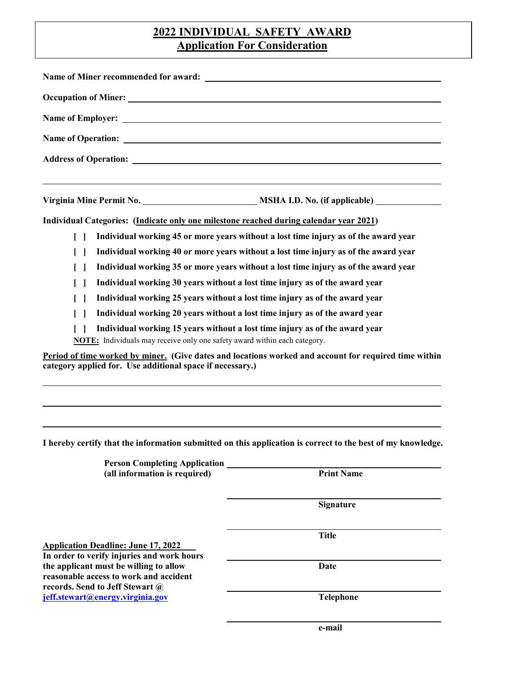# **2022 INDIVIDUAL SAFETY AWARD Application For Consideration**

| Address of Operation: <u>New York Charles Constanting</u>                                                                                                         |                                                                                                                                  |                                                                                        |                                                                                     |
|-------------------------------------------------------------------------------------------------------------------------------------------------------------------|----------------------------------------------------------------------------------------------------------------------------------|----------------------------------------------------------------------------------------|-------------------------------------------------------------------------------------|
|                                                                                                                                                                   |                                                                                                                                  |                                                                                        |                                                                                     |
|                                                                                                                                                                   |                                                                                                                                  | Individual Categories: (Indicate only one milestone reached during calendar year 2021) |                                                                                     |
|                                                                                                                                                                   |                                                                                                                                  | $\Box$                                                                                 | Individual working 45 or more years without a lost time injury as of the award year |
|                                                                                                                                                                   |                                                                                                                                  |                                                                                        | Individual working 40 or more years without a lost time injury as of the award year |
| $\Box$                                                                                                                                                            | Individual working 35 or more years without a lost time injury as of the award year                                              |                                                                                        |                                                                                     |
|                                                                                                                                                                   | Individual working 30 years without a lost time injury as of the award year                                                      |                                                                                        |                                                                                     |
| $\Box$                                                                                                                                                            | Individual working 25 years without a lost time injury as of the award year                                                      |                                                                                        |                                                                                     |
|                                                                                                                                                                   | Individual working 20 years without a lost time injury as of the award year                                                      |                                                                                        |                                                                                     |
| <b>NOTE:</b> Individuals may receive only one safety award within each category.                                                                                  | Individual working 15 years without a lost time injury as of the award year                                                      |                                                                                        |                                                                                     |
| category applied for. Use additional space if necessary.)                                                                                                         | Period of time worked by miner. (Give dates and locations worked and account for required time within                            |                                                                                        |                                                                                     |
| <b>Person Completing Application</b><br>(all information is required)                                                                                             | I hereby certify that the information submitted on this application is correct to the best of my knowledge.<br><b>Print Name</b> |                                                                                        |                                                                                     |
|                                                                                                                                                                   | <b>Signature</b>                                                                                                                 |                                                                                        |                                                                                     |
| <b>Application Deadline: June 17, 2022</b>                                                                                                                        | <b>Title</b>                                                                                                                     |                                                                                        |                                                                                     |
| In order to verify injuries and work hours<br>the applicant must be willing to allow<br>reasonable access to work and accident<br>records. Send to Jeff Stewart @ | Date                                                                                                                             |                                                                                        |                                                                                     |
| jeff.stewart@energy.virginia.gov                                                                                                                                  | <b>Telephone</b>                                                                                                                 |                                                                                        |                                                                                     |

 **e-mail**